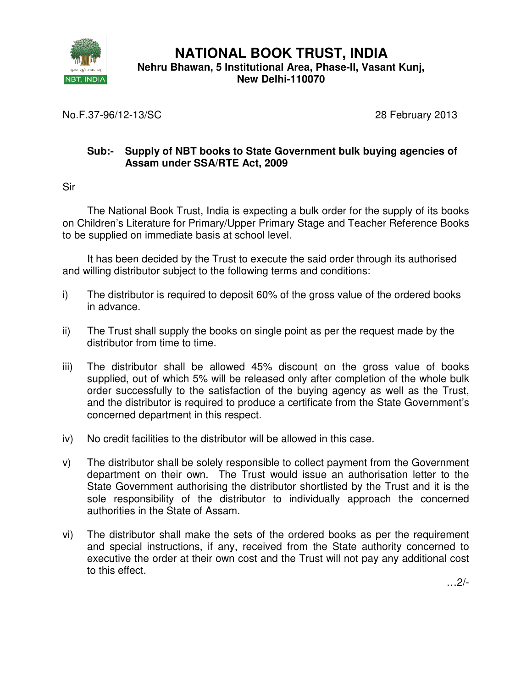

**NATIONAL BOOK TRUST, INDIA Nehru Bhawan, 5 Institutional Area, Phase-II, Vasant Kunj, New Delhi-110070** 

No.F.37-96/12-13/SC 28 February 2013

## **Sub:- Supply of NBT books to State Government bulk buying agencies of Assam under SSA/RTE Act, 2009**

Sir

The National Book Trust, India is expecting a bulk order for the supply of its books on Children's Literature for Primary/Upper Primary Stage and Teacher Reference Books to be supplied on immediate basis at school level.

It has been decided by the Trust to execute the said order through its authorised and willing distributor subject to the following terms and conditions:

- i) The distributor is required to deposit 60% of the gross value of the ordered books in advance.
- ii) The Trust shall supply the books on single point as per the request made by the distributor from time to time.
- iii) The distributor shall be allowed 45% discount on the gross value of books supplied, out of which 5% will be released only after completion of the whole bulk order successfully to the satisfaction of the buying agency as well as the Trust, and the distributor is required to produce a certificate from the State Government's concerned department in this respect.
- iv) No credit facilities to the distributor will be allowed in this case.
- v) The distributor shall be solely responsible to collect payment from the Government department on their own. The Trust would issue an authorisation letter to the State Government authorising the distributor shortlisted by the Trust and it is the sole responsibility of the distributor to individually approach the concerned authorities in the State of Assam.
- vi) The distributor shall make the sets of the ordered books as per the requirement and special instructions, if any, received from the State authority concerned to executive the order at their own cost and the Trust will not pay any additional cost to this effect.

…2/-